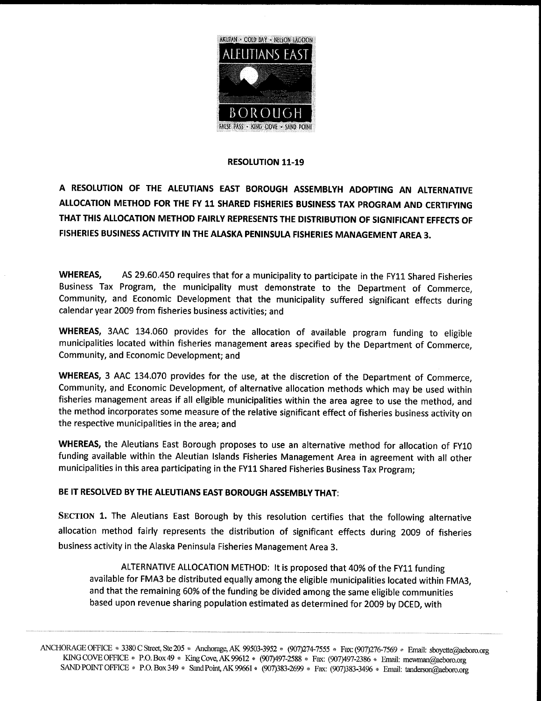

## **RESOLUTION 11-19**

A RESOLUTION OF THE ALEUTIANS EAST BOROUGH ASSEMBLYH ADOPTING AN ALTERNATIVE ALLOCATION METHOD FOR THE FY 11 SHARED FISHERIES BUSINESS TAX PROGRAM AND CERTIFYING THAT THIS ALLOCATION METHOD FAIRLY REPRESENTS THE DISTRIBUTION OF SIGNIFICANT EFFECTS OF FISHERIES BUSINESS ACTIVITY IN THE ALASKA PENINSULA FISHERIES MANAGEMENT AREA 3

WHEREAS, AS 29.60.450 requires that for a municipality to participate in the FY11 Shared Fisheries Business Tax Program, the municipality must demonstrate to the Department of Commerce, Community, and Economic Development that the municipality suffered significant effects during calendar year 2009 from fisheries business activities; and

WHEREAS, 3AAC 134.060 provides for the allocation of available program funding to eligible municipalities located within fisheries management areas specified by the Department of Commerce Community, and Economic Development; and

WHEREAS, 3 AAC 134.070 provides for the use, at the discretion of the Department of Commerce, Community, and Economic Development, of alternative allocation methods which may be used within fisheries management areas if all eligible municipalities within the area agree to use the method, and the method incorporates some measure of the relative significant effect of fisheries business activity on the respective municipalities in the area; and

WHEREAS, the Aleutians East Borough proposes to use an alternative method for allocation of FY10 funding available within the Aleutian Islands Fisheries Management Area in agreement with all other municipalities in this area participating in the FY11 Shared Fisheries Business Tax Program

## BE IT RESOLVED BY THE ALEUTIANS EAST BOROUGH ASSEMBLY THAT

SECTION 1. The Aleutians East Borough by this resolution certifies that the following alternative allocation method fairly represents the distribution of significant effects during <sup>2009</sup> of fisheries business activity in the Alaska Peninsula Fisheries Management Area 3

ALTERNATIVE ALLOCATION METHOD: It is proposed that 40% of the FY11 funding available for FMA3 be distributed equally among the eligible municipalities located within FMA3 and that the remaining 60% of the funding be divided among the same eligible communities based upon revenue sharing population estimated as determined for 2009 by DCED, with